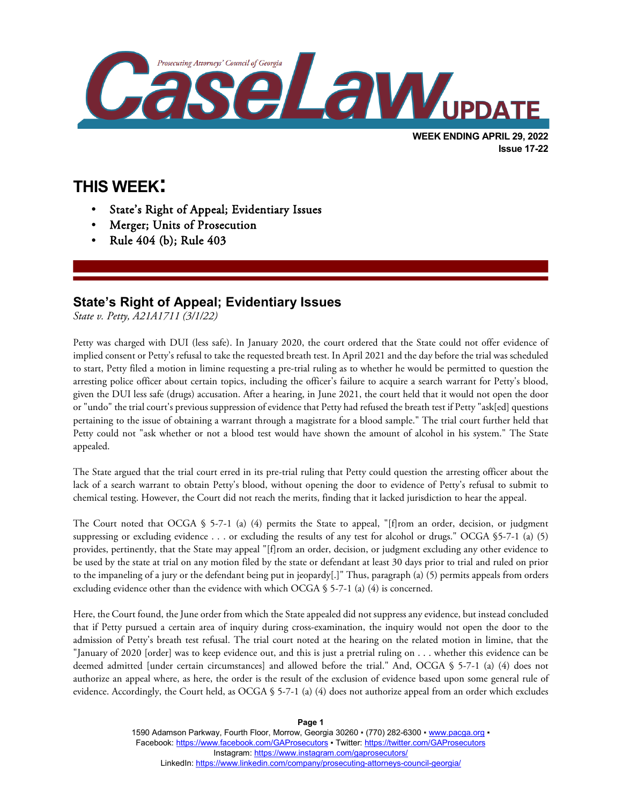

**THIS WEEK:**

l

- State's Right of Appeal; Evidentiary Issues
- Merger; Units of Prosecution
- Rule 404 (b); Rule 403

## **State's Right of Appeal; Evidentiary Issues**

*State v. Petty, A21A1711 (3/1/22)*

Petty was charged with DUI (less safe). In January 2020, the court ordered that the State could not offer evidence of implied consent or Petty's refusal to take the requested breath test. In April 2021 and the day before the trial was scheduled to start, Petty filed a motion in limine requesting a pre-trial ruling as to whether he would be permitted to question the arresting police officer about certain topics, including the officer's failure to acquire a search warrant for Petty's blood, given the DUI less safe (drugs) accusation. After a hearing, in June 2021, the court held that it would not open the door or "undo" the trial court's previous suppression of evidence that Petty had refused the breath test if Petty "ask[ed] questions pertaining to the issue of obtaining a warrant through a magistrate for a blood sample." The trial court further held that Petty could not "ask whether or not a blood test would have shown the amount of alcohol in his system." The State appealed.

The State argued that the trial court erred in its pre-trial ruling that Petty could question the arresting officer about the lack of a search warrant to obtain Petty's blood, without opening the door to evidence of Petty's refusal to submit to chemical testing. However, the Court did not reach the merits, finding that it lacked jurisdiction to hear the appeal.

The Court noted that OCGA § 5-7-1 (a) (4) permits the State to appeal, "[f]rom an order, decision, or judgment suppressing or excluding evidence . . . or excluding the results of any test for alcohol or drugs." OCGA §5-7-1 (a) (5) provides, pertinently, that the State may appeal "[f]rom an order, decision, or judgment excluding any other evidence to be used by the state at trial on any motion filed by the state or defendant at least 30 days prior to trial and ruled on prior to the impaneling of a jury or the defendant being put in jeopardy[.]" Thus, paragraph (a) (5) permits appeals from orders excluding evidence other than the evidence with which OCGA  $\S$  5-7-1 (a) (4) is concerned.

Here, the Court found, the June order from which the State appealed did not suppress any evidence, but instead concluded that if Petty pursued a certain area of inquiry during cross-examination, the inquiry would not open the door to the admission of Petty's breath test refusal. The trial court noted at the hearing on the related motion in limine, that the "January of 2020 [order] was to keep evidence out, and this is just a pretrial ruling on . . . whether this evidence can be deemed admitted [under certain circumstances] and allowed before the trial." And, OCGA § 5-7-1 (a) (4) does not authorize an appeal where, as here, the order is the result of the exclusion of evidence based upon some general rule of evidence. Accordingly, the Court held, as OCGA § 5-7-1 (a) (4) does not authorize appeal from an order which excludes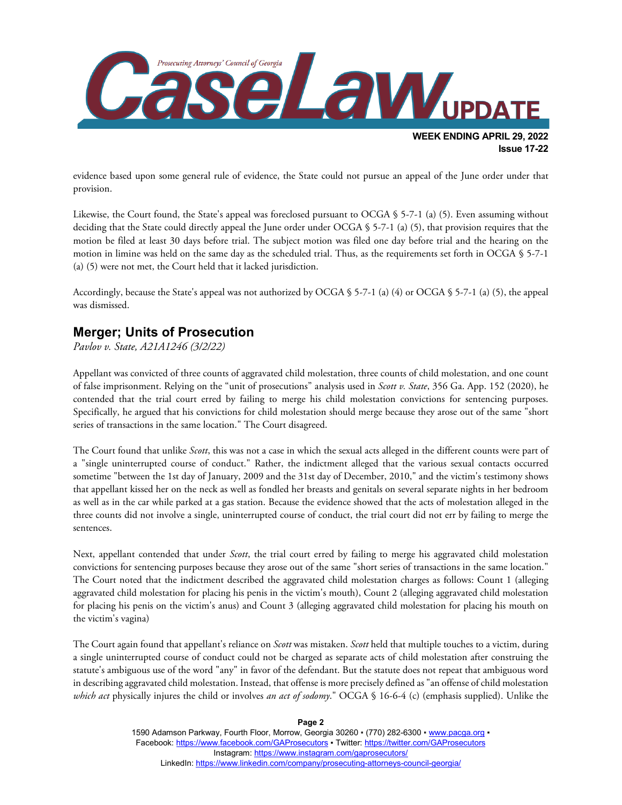

evidence based upon some general rule of evidence, the State could not pursue an appeal of the June order under that provision.

Likewise, the Court found, the State's appeal was foreclosed pursuant to OCGA § 5-7-1 (a) (5). Even assuming without deciding that the State could directly appeal the June order under OCGA § 5-7-1 (a) (5), that provision requires that the motion be filed at least 30 days before trial. The subject motion was filed one day before trial and the hearing on the motion in limine was held on the same day as the scheduled trial. Thus, as the requirements set forth in OCGA § 5-7-1 (a) (5) were not met, the Court held that it lacked jurisdiction.

Accordingly, because the State's appeal was not authorized by OCGA § 5-7-1 (a) (4) or OCGA § 5-7-1 (a) (5), the appeal was dismissed.

## **Merger; Units of Prosecution**

*Pavlov v. State, A21A1246 (3/2/22)*

Appellant was convicted of three counts of aggravated child molestation, three counts of child molestation, and one count of false imprisonment. Relying on the "unit of prosecutions" analysis used in *Scott v. State*, 356 Ga. App. 152 (2020), he contended that the trial court erred by failing to merge his child molestation convictions for sentencing purposes. Specifically, he argued that his convictions for child molestation should merge because they arose out of the same "short series of transactions in the same location." The Court disagreed.

The Court found that unlike *Scott*, this was not a case in which the sexual acts alleged in the different counts were part of a "single uninterrupted course of conduct." Rather, the indictment alleged that the various sexual contacts occurred sometime "between the 1st day of January, 2009 and the 31st day of December, 2010," and the victim's testimony shows that appellant kissed her on the neck as well as fondled her breasts and genitals on several separate nights in her bedroom as well as in the car while parked at a gas station. Because the evidence showed that the acts of molestation alleged in the three counts did not involve a single, uninterrupted course of conduct, the trial court did not err by failing to merge the sentences.

Next, appellant contended that under *Scott*, the trial court erred by failing to merge his aggravated child molestation convictions for sentencing purposes because they arose out of the same "short series of transactions in the same location." The Court noted that the indictment described the aggravated child molestation charges as follows: Count 1 (alleging aggravated child molestation for placing his penis in the victim's mouth), Count 2 (alleging aggravated child molestation for placing his penis on the victim's anus) and Count 3 (alleging aggravated child molestation for placing his mouth on the victim's vagina)

The Court again found that appellant's reliance on *Scott* was mistaken. *Scott* held that multiple touches to a victim, during a single uninterrupted course of conduct could not be charged as separate acts of child molestation after construing the statute's ambiguous use of the word "any" in favor of the defendant. But the statute does not repeat that ambiguous word in describing aggravated child molestation. Instead, that offense is more precisely defined as "an offense of child molestation *which act* physically injures the child or involves *an act of sodomy*." OCGA § 16-6-4 (c) (emphasis supplied). Unlike the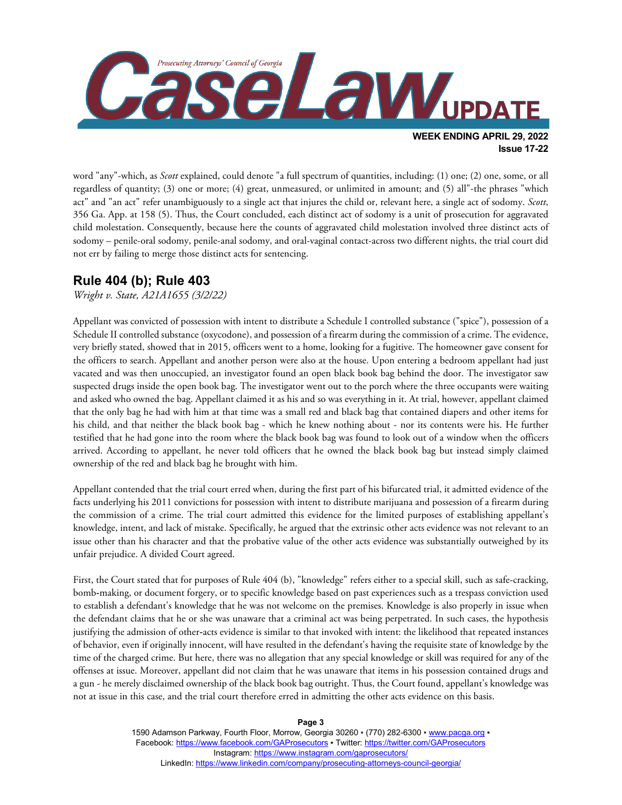

word "any"-which, as *Scott* explained, could denote "a full spectrum of quantities, including: (1) one; (2) one, some, or all regardless of quantity; (3) one or more; (4) great, unmeasured, or unlimited in amount; and (5) all"-the phrases "which act" and "an act" refer unambiguously to a single act that injures the child or, relevant here, a single act of sodomy. *Scott*, 356 Ga. App. at 158 (5). Thus, the Court concluded, each distinct act of sodomy is a unit of prosecution for aggravated child molestation. Consequently, because here the counts of aggravated child molestation involved three distinct acts of sodomy – penile-oral sodomy, penile-anal sodomy, and oral-vaginal contact-across two different nights, the trial court did not err by failing to merge those distinct acts for sentencing.

## **Rule 404 (b); Rule 403**

*Wright v. State, A21A1655 (3/2/22)*

Appellant was convicted of possession with intent to distribute a Schedule I controlled substance ("spice"), possession of a Schedule II controlled substance (oxycodone), and possession of a firearm during the commission of a crime. The evidence, very briefly stated, showed that in 2015, officers went to a home, looking for a fugitive. The homeowner gave consent for the officers to search. Appellant and another person were also at the house. Upon entering a bedroom appellant had just vacated and was then unoccupied, an investigator found an open black book bag behind the door. The investigator saw suspected drugs inside the open book bag. The investigator went out to the porch where the three occupants were waiting and asked who owned the bag. Appellant claimed it as his and so was everything in it. At trial, however, appellant claimed that the only bag he had with him at that time was a small red and black bag that contained diapers and other items for his child, and that neither the black book bag - which he knew nothing about - nor its contents were his. He further testified that he had gone into the room where the black book bag was found to look out of a window when the officers arrived. According to appellant, he never told officers that he owned the black book bag but instead simply claimed ownership of the red and black bag he brought with him.

Appellant contended that the trial court erred when, during the first part of his bifurcated trial, it admitted evidence of the facts underlying his 2011 convictions for possession with intent to distribute marijuana and possession of a firearm during the commission of a crime. The trial court admitted this evidence for the limited purposes of establishing appellant's knowledge, intent, and lack of mistake. Specifically, he argued that the extrinsic other acts evidence was not relevant to an issue other than his character and that the probative value of the other acts evidence was substantially outweighed by its unfair prejudice. A divided Court agreed.

First, the Court stated that for purposes of Rule 404 (b), "knowledge" refers either to a special skill, such as safe-cracking, bomb-making, or document forgery, or to specific knowledge based on past experiences such as a trespass conviction used to establish a defendant's knowledge that he was not welcome on the premises. Knowledge is also properly in issue when the defendant claims that he or she was unaware that a criminal act was being perpetrated. In such cases, the hypothesis justifying the admission of other-acts evidence is similar to that invoked with intent: the likelihood that repeated instances of behavior, even if originally innocent, will have resulted in the defendant's having the requisite state of knowledge by the time of the charged crime. But here, there was no allegation that any special knowledge or skill was required for any of the offenses at issue. Moreover, appellant did not claim that he was unaware that items in his possession contained drugs and a gun - he merely disclaimed ownership of the black book bag outright. Thus, the Court found, appellant's knowledge was not at issue in this case, and the trial court therefore erred in admitting the other acts evidence on this basis.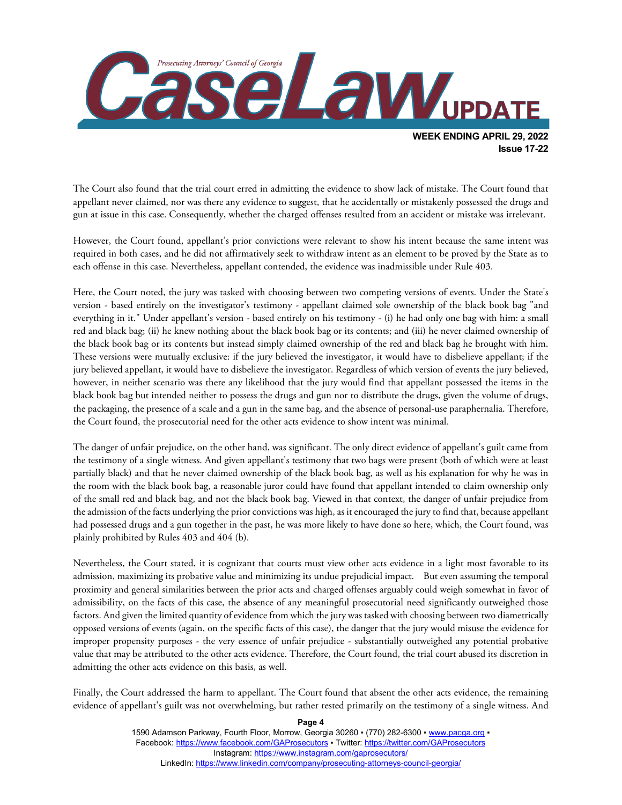

The Court also found that the trial court erred in admitting the evidence to show lack of mistake. The Court found that appellant never claimed, nor was there any evidence to suggest, that he accidentally or mistakenly possessed the drugs and gun at issue in this case. Consequently, whether the charged offenses resulted from an accident or mistake was irrelevant.

However, the Court found, appellant's prior convictions were relevant to show his intent because the same intent was required in both cases, and he did not affirmatively seek to withdraw intent as an element to be proved by the State as to each offense in this case. Nevertheless, appellant contended, the evidence was inadmissible under Rule 403.

Here, the Court noted, the jury was tasked with choosing between two competing versions of events. Under the State's version - based entirely on the investigator's testimony - appellant claimed sole ownership of the black book bag "and everything in it." Under appellant's version - based entirely on his testimony - (i) he had only one bag with him: a small red and black bag; (ii) he knew nothing about the black book bag or its contents; and (iii) he never claimed ownership of the black book bag or its contents but instead simply claimed ownership of the red and black bag he brought with him. These versions were mutually exclusive: if the jury believed the investigator, it would have to disbelieve appellant; if the jury believed appellant, it would have to disbelieve the investigator. Regardless of which version of events the jury believed, however, in neither scenario was there any likelihood that the jury would find that appellant possessed the items in the black book bag but intended neither to possess the drugs and gun nor to distribute the drugs, given the volume of drugs, the packaging, the presence of a scale and a gun in the same bag, and the absence of personal-use paraphernalia. Therefore, the Court found, the prosecutorial need for the other acts evidence to show intent was minimal.

The danger of unfair prejudice, on the other hand, was significant. The only direct evidence of appellant's guilt came from the testimony of a single witness. And given appellant's testimony that two bags were present (both of which were at least partially black) and that he never claimed ownership of the black book bag, as well as his explanation for why he was in the room with the black book bag, a reasonable juror could have found that appellant intended to claim ownership only of the small red and black bag, and not the black book bag. Viewed in that context, the danger of unfair prejudice from the admission of the facts underlying the prior convictions was high, as it encouraged the jury to find that, because appellant had possessed drugs and a gun together in the past, he was more likely to have done so here, which, the Court found, was plainly prohibited by Rules 403 and 404 (b).

Nevertheless, the Court stated, it is cognizant that courts must view other acts evidence in a light most favorable to its admission, maximizing its probative value and minimizing its undue prejudicial impact. But even assuming the temporal proximity and general similarities between the prior acts and charged offenses arguably could weigh somewhat in favor of admissibility, on the facts of this case, the absence of any meaningful prosecutorial need significantly outweighed those factors. And given the limited quantity of evidence from which the jury was tasked with choosing between two diametrically opposed versions of events (again, on the specific facts of this case), the danger that the jury would misuse the evidence for improper propensity purposes - the very essence of unfair prejudice - substantially outweighed any potential probative value that may be attributed to the other acts evidence. Therefore, the Court found, the trial court abused its discretion in admitting the other acts evidence on this basis, as well.

Finally, the Court addressed the harm to appellant. The Court found that absent the other acts evidence, the remaining evidence of appellant's guilt was not overwhelming, but rather rested primarily on the testimony of a single witness. And